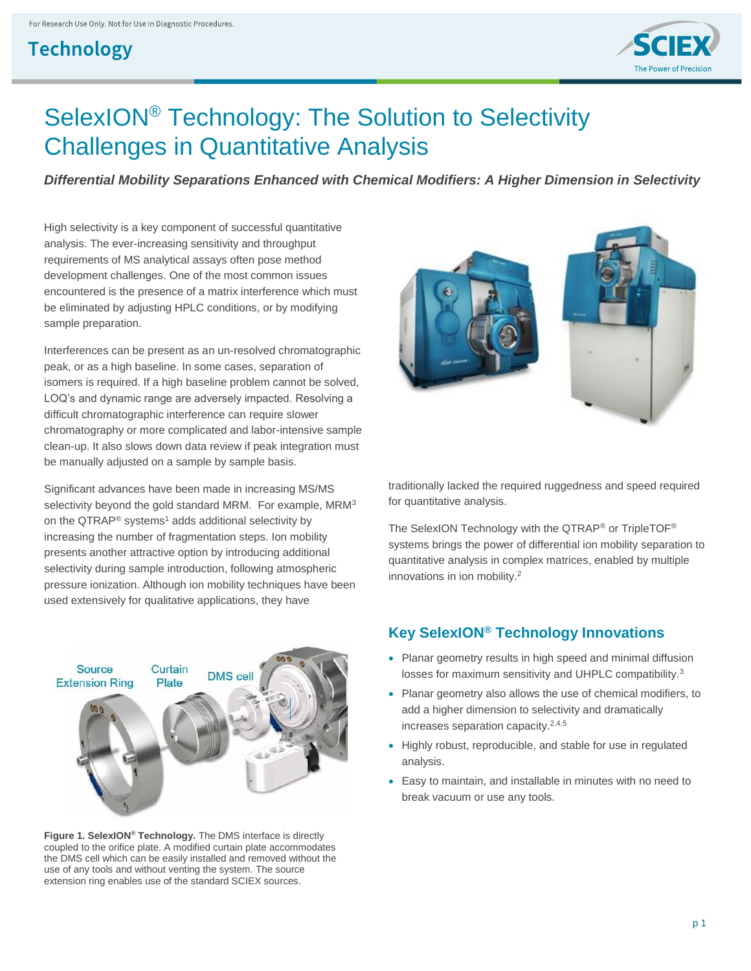# **Technology**



# SelexION® Technology: The Solution to Selectivity Challenges in Quantitative Analysis

*Differential Mobility Separations Enhanced with Chemical Modifiers: A Higher Dimension in Selectivity*

High selectivity is a key component of successful quantitative analysis. The ever-increasing sensitivity and throughput requirements of MS analytical assays often pose method development challenges. One of the most common issues encountered is the presence of a matrix interference which must be eliminated by adjusting HPLC conditions, or by modifying sample preparation.

Interferences can be present as an un-resolved chromatographic peak, or as a high baseline. In some cases, separation of isomers is required. If a high baseline problem cannot be solved, LOQ's and dynamic range are adversely impacted. Resolving a difficult chromatographic interference can require slower chromatography or more complicated and labor-intensive sample clean-up. It also slows down data review if peak integration must be manually adjusted on a sample by sample basis.

Significant advances have been made in increasing MS/MS selectivity beyond the gold standard MRM. For example, MRM<sup>3</sup> on the QTRAP® systems<sup>1</sup> adds additional selectivity by increasing the number of fragmentation steps. Ion mobility presents another attractive option by introducing additional selectivity during sample introduction, following atmospheric pressure ionization. Although ion mobility techniques have been used extensively for qualitative applications, they have



**Figure 1. SelexION® Technology.** The DMS interface is directly coupled to the orifice plate. A modified curtain plate accommodates the DMS cell which can be easily installed and removed without the use of any tools and without venting the system. The source extension ring enables use of the standard SCIEX sources.



traditionally lacked the required ruggedness and speed required for quantitative analysis.

The SelexION Technology with the QTRAP® or TripleTOF® systems brings the power of differential ion mobility separation to quantitative analysis in complex matrices, enabled by multiple innovations in ion mobility.<sup>2</sup>

# **Key SelexION® Technology Innovations**

- Planar geometry results in high speed and minimal diffusion losses for maximum sensitivity and UHPLC compatibility.<sup>3</sup>
- Planar geometry also allows the use of chemical modifiers, to add a higher dimension to selectivity and dramatically increases separation capacity.2,4,5
- Highly robust, reproducible, and stable for use in regulated analysis.
- Easy to maintain, and installable in minutes with no need to break vacuum or use any tools.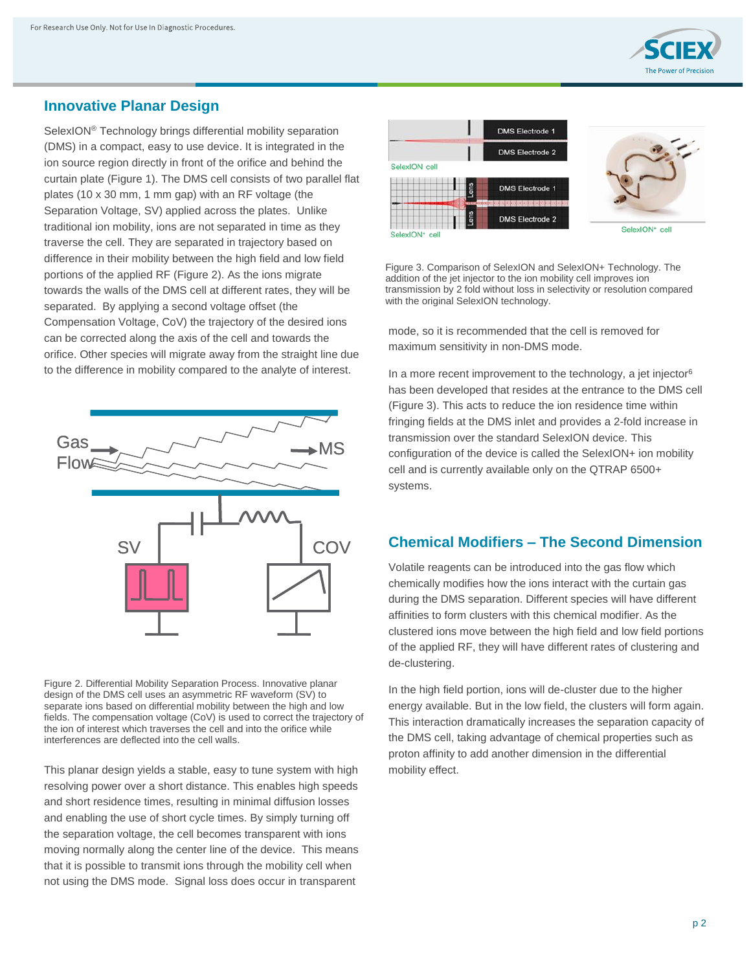

#### **Innovative Planar Design**

SelexION® Technology brings differential mobility separation (DMS) in a compact, easy to use device. It is integrated in the ion source region directly in front of the orifice and behind the curtain plate (Figure 1). The DMS cell consists of two parallel flat plates (10 x 30 mm, 1 mm gap) with an RF voltage (the Separation Voltage, SV) applied across the plates. Unlike traditional ion mobility, ions are not separated in time as they traverse the cell. They are separated in trajectory based on difference in their mobility between the high field and low field portions of the applied RF (Figure 2). As the ions migrate towards the walls of the DMS cell at different rates, they will be separated. By applying a second voltage offset (the Compensation Voltage, CoV) the trajectory of the desired ions can be corrected along the axis of the cell and towards the orifice. Other species will migrate away from the straight line due to the difference in mobility compared to the analyte of interest.



Figure 2. Differential Mobility Separation Process. Innovative planar design of the DMS cell uses an asymmetric RF waveform (SV) to separate ions based on differential mobility between the high and low fields. The compensation voltage (CoV) is used to correct the trajectory of the ion of interest which traverses the cell and into the orifice while interferences are deflected into the cell walls.

This planar design yields a stable, easy to tune system with high resolving power over a short distance. This enables high speeds and short residence times, resulting in minimal diffusion losses and enabling the use of short cycle times. By simply turning off the separation voltage, the cell becomes transparent with ions moving normally along the center line of the device. This means that it is possible to transmit ions through the mobility cell when not using the DMS mode. Signal loss does occur in transparent



Figure 3. Comparison of SelexION and SelexION+ Technology. The addition of the jet injector to the ion mobility cell improves ion transmission by 2 fold without loss in selectivity or resolution compared with the original SelexION technology.

mode, so it is recommended that the cell is removed for maximum sensitivity in non-DMS mode.

In a more recent improvement to the technology, a jet injector $6$ has been developed that resides at the entrance to the DMS cell (Figure 3). This acts to reduce the ion residence time within fringing fields at the DMS inlet and provides a 2-fold increase in transmission over the standard SelexION device. This configuration of the device is called the SelexION+ ion mobility cell and is currently available only on the QTRAP 6500+ systems.

### **Chemical Modifiers – The Second Dimension**

Volatile reagents can be introduced into the gas flow which chemically modifies how the ions interact with the curtain gas during the DMS separation. Different species will have different affinities to form clusters with this chemical modifier. As the clustered ions move between the high field and low field portions of the applied RF, they will have different rates of clustering and de-clustering.

In the high field portion, ions will de-cluster due to the higher energy available. But in the low field, the clusters will form again. This interaction dramatically increases the separation capacity of the DMS cell, taking advantage of chemical properties such as proton affinity to add another dimension in the differential mobility effect.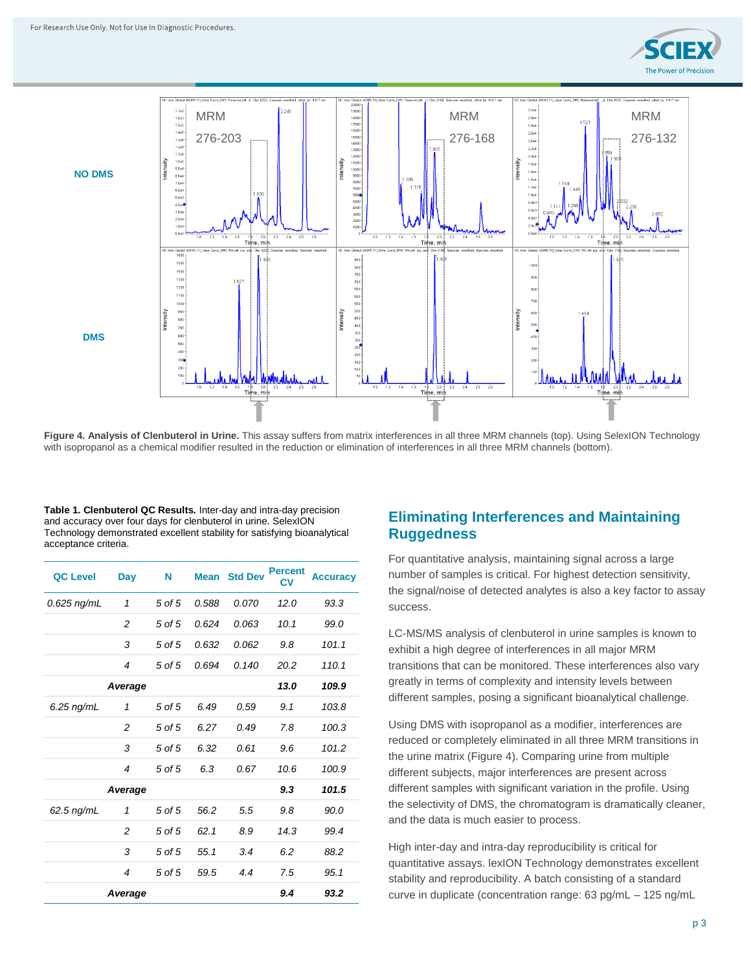



**Figure 4. Analysis of Clenbuterol in Urine.** This assay suffers from matrix interferences in all three MRM channels (top). Using SelexION Technology with isopropanol as a chemical modifier resulted in the reduction or elimination of interferences in all three MRM channels (bottom).

**Table 1. Clenbuterol QC Results.** Inter-day and intra-day precision and accuracy over four days for clenbuterol in urine. SelexION Technology demonstrated excellent stability for satisfying bioanalytical acceptance criteria.

| <b>QC Level</b> | Day            | N      | <b>Mean</b> | <b>Std Dev</b> | <b>Percent</b><br>СV | <b>Accuracy</b> |
|-----------------|----------------|--------|-------------|----------------|----------------------|-----------------|
| $0.625$ ng/mL   | 1              | 5 of 5 | 0.588       | 0.070          | 12.0                 | 93.3            |
|                 | 2              | 5 of 5 | 0.624       | 0.063          | 10.1                 | 99.0            |
|                 | 3              | 5 of 5 | 0.632       | 0.062          | 9.8                  | 101.1           |
|                 | $\overline{4}$ | 5 of 5 | 0.694       | 0.140          | 20.2                 | 110.1           |
|                 | Average        |        |             |                | 13.0                 | 109.9           |
| 6.25 ng/mL      | 1              | 5 of 5 | 6.49        | 0.59           | 9.1                  | 103.8           |
|                 | $\overline{c}$ | 5 of 5 | 6.27        | 0.49           | 7.8                  | 100.3           |
|                 | 3              | 5 of 5 | 6.32        | 0.61           | 9.6                  | 101.2           |
|                 | $\overline{4}$ | 5 of 5 | 6.3         | 0.67           | 10.6                 | 100.9           |
|                 | Average        |        |             |                | 9.3                  | 101.5           |
| 62.5 ng/mL      | 1              | 5 of 5 | 56.2        | 5.5            | 9.8                  | 90.0            |
|                 | $\overline{2}$ | 5 of 5 | 62.1        | 8.9            | 14.3                 | 99.4            |
|                 | 3              | 5 of 5 | 55.1        | 3.4            | 6.2                  | 88.2            |
|                 | $\overline{4}$ | 5 of 5 | 59.5        | 4.4            | 7.5                  | 95.1            |
|                 | Average        |        |             |                | 9.4                  | 93.2            |

#### **Eliminating Interferences and Maintaining Ruggedness**

For quantitative analysis, maintaining signal across a large number of samples is critical. For highest detection sensitivity, the signal/noise of detected analytes is also a key factor to assay success.

LC-MS/MS analysis of clenbuterol in urine samples is known to exhibit a high degree of interferences in all major MRM transitions that can be monitored. These interferences also vary greatly in terms of complexity and intensity levels between different samples, posing a significant bioanalytical challenge.

Using DMS with isopropanol as a modifier, interferences are reduced or completely eliminated in all three MRM transitions in the urine matrix (Figure 4). Comparing urine from multiple different subjects, major interferences are present across different samples with significant variation in the profile. Using the selectivity of DMS, the chromatogram is dramatically cleaner, and the data is much easier to process.

High inter-day and intra-day reproducibility is critical for quantitative assays. lexION Technology demonstrates excellent stability and reproducibility. A batch consisting of a standard curve in duplicate (concentration range: 63 pg/mL – 125 ng/mL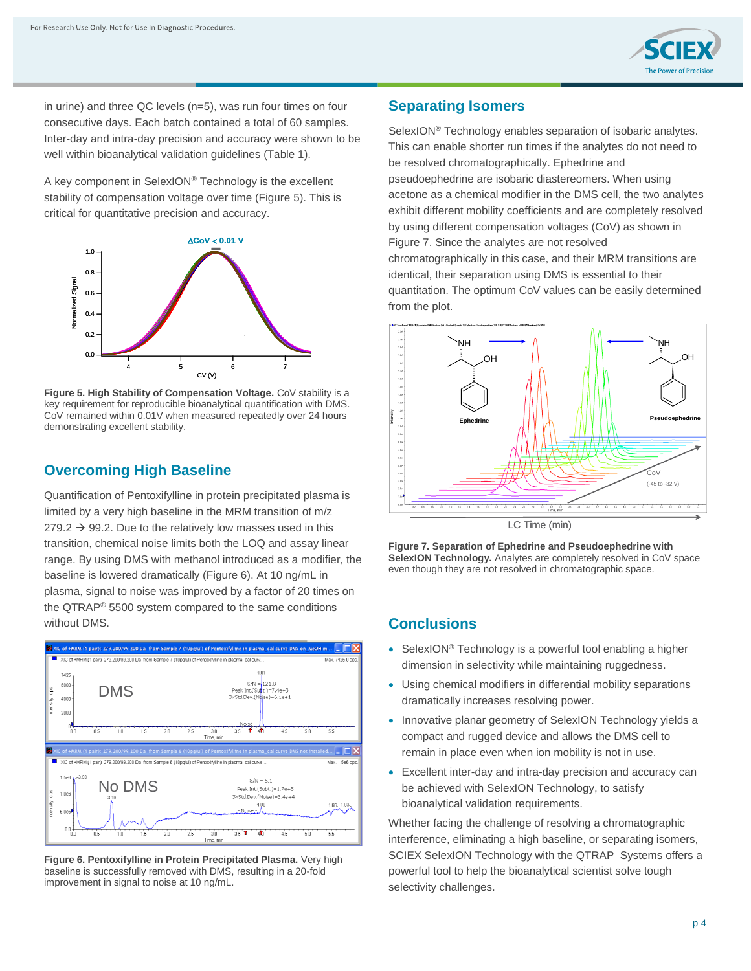

in urine) and three QC levels (n=5), was run four times on four consecutive days. Each batch contained a total of 60 samples. Inter-day and intra-day precision and accuracy were shown to be well within bioanalytical validation guidelines (Table 1).

A key component in SelexION® Technology is the excellent stability of compensation voltage over time (Figure 5). This is critical for quantitative precision and accuracy.



**Figure 5. High Stability of Compensation Voltage.** CoV stability is a key requirement for reproducible bioanalytical quantification with DMS. CoV remained within 0.01V when measured repeatedly over 24 hours demonstrating excellent stability.

# **Overcoming High Baseline**

Quantification of Pentoxifylline in protein precipitated plasma is limited by a very high baseline in the MRM transition of m/z  $279.2 \rightarrow 99.2$ . Due to the relatively low masses used in this transition, chemical noise limits both the LOQ and assay linear range. By using DMS with methanol introduced as a modifier, the baseline is lowered dramatically (Figure 6). At 10 ng/mL in plasma, signal to noise was improved by a factor of 20 times on the QTRAP® 5500 system compared to the same conditions without DMS.



**Figure 6. Pentoxifylline in Protein Precipitated Plasma.** Very high baseline is successfully removed with DMS, resulting in a 20-fold improvement in signal to noise at 10 ng/mL.

## **Separating Isomers**

SelexION® Technology enables separation of isobaric analytes. This can enable shorter run times if the analytes do not need to be resolved chromatographically. Ephedrine and pseudoephedrine are isobaric diastereomers. When using acetone as a chemical modifier in the DMS cell, the two analytes exhibit different mobility coefficients and are completely resolved by using different compensation voltages (CoV) as shown in Figure 7. Since the analytes are not resolved chromatographically in this case, and their MRM transitions are identical, their separation using DMS is essential to their quantitation. The optimum CoV values can be easily determined from the plot.



LC Time (min)

**Figure 7. Separation of Ephedrine and Pseudoephedrine with SelexION Technology.** Analytes are completely resolved in CoV space even though they are not resolved in chromatographic space.

#### **Conclusions**

- SelexION<sup>®</sup> Technology is a powerful tool enabling a higher dimension in selectivity while maintaining ruggedness.
- Using chemical modifiers in differential mobility separations dramatically increases resolving power.
- Innovative planar geometry of SelexION Technology yields a compact and rugged device and allows the DMS cell to remain in place even when ion mobility is not in use.
- Excellent inter-day and intra-day precision and accuracy can be achieved with SelexION Technology, to satisfy bioanalytical validation requirements.

Whether facing the challenge of resolving a chromatographic interference, eliminating a high baseline, or separating isomers, SCIEX SelexION Technology with the QTRAP Systems offers a powerful tool to help the bioanalytical scientist solve tough selectivity challenges.